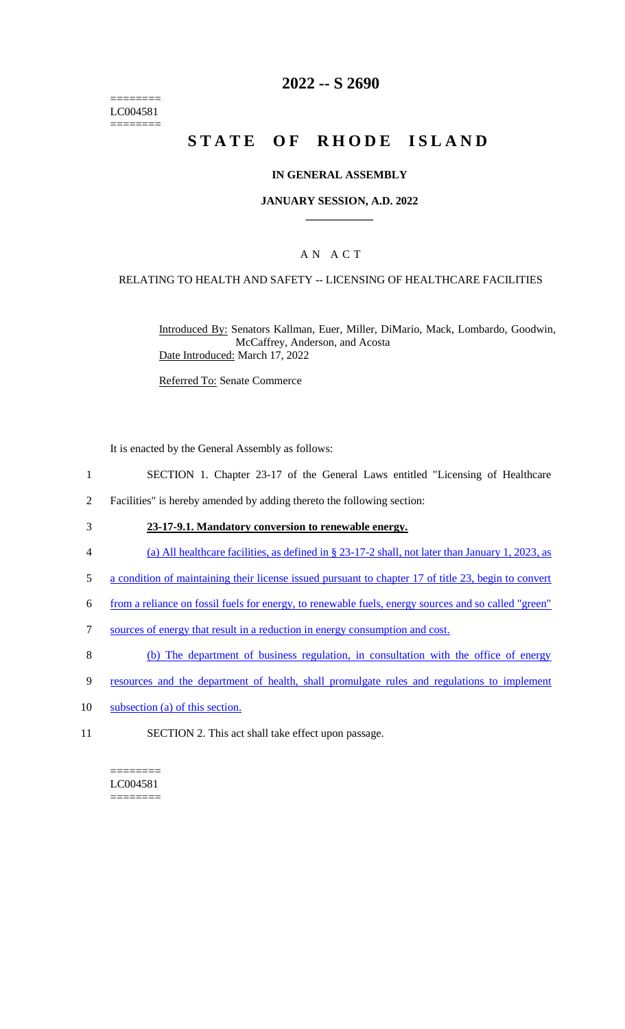======== LC004581 ========

### **2022 -- S 2690**

# **STATE OF RHODE ISLAND**

#### **IN GENERAL ASSEMBLY**

#### **JANUARY SESSION, A.D. 2022 \_\_\_\_\_\_\_\_\_\_\_\_**

### A N A C T

#### RELATING TO HEALTH AND SAFETY -- LICENSING OF HEALTHCARE FACILITIES

Introduced By: Senators Kallman, Euer, Miller, DiMario, Mack, Lombardo, Goodwin, McCaffrey, Anderson, and Acosta Date Introduced: March 17, 2022

Referred To: Senate Commerce

It is enacted by the General Assembly as follows:

- 1 SECTION 1. Chapter 23-17 of the General Laws entitled "Licensing of Healthcare
- 2 Facilities" is hereby amended by adding thereto the following section:
- 3 **23-17-9.1. Mandatory conversion to renewable energy.**
- 4 (a) All healthcare facilities, as defined in § 23-17-2 shall, not later than January 1, 2023, as
- 5 a condition of maintaining their license issued pursuant to chapter 17 of title 23, begin to convert
- 6 from a reliance on fossil fuels for energy, to renewable fuels, energy sources and so called "green"
- 7 sources of energy that result in a reduction in energy consumption and cost.
- 8 (b) The department of business regulation, in consultation with the office of energy
- 9 resources and the department of health, shall promulgate rules and regulations to implement
- 10 subsection (a) of this section.
- 11 SECTION 2. This act shall take effect upon passage.

======== LC004581  $=$